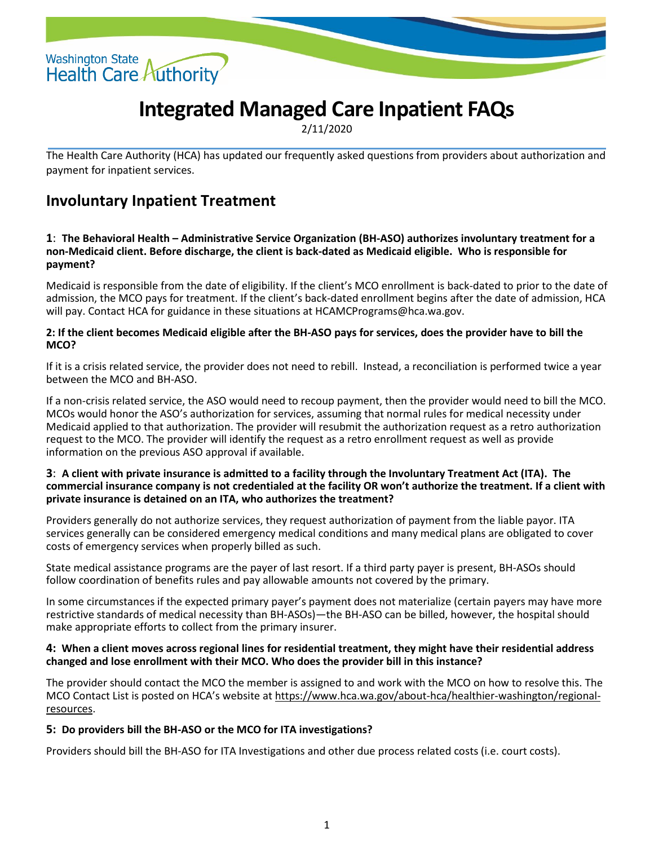

# **Integrated Managed Care Inpatient FAQs**

2/11/2020

The Health Care Authority (HCA) has updated our frequently asked questions from providers about authorization and payment for inpatient services.

# **Involuntary Inpatient Treatment**

#### **1**: **The Behavioral Health – Administrative Service Organization (BH-ASO) authorizes involuntary treatment for a non-Medicaid client. Before discharge, the client is back-dated as Medicaid eligible. Who is responsible for payment?**

Medicaid is responsible from the date of eligibility. If the client's MCO enrollment is back-dated to prior to the date of admission, the MCO pays for treatment. If the client's back-dated enrollment begins after the date of admission, HCA will pay. Contact HCA for guidance in these situations at HCAMCPrograms@hca.wa.gov.

#### **2: If the client becomes Medicaid eligible after the BH-ASO pays for services, does the provider have to bill the MCO?**

If it is a crisis related service, the provider does not need to rebill. Instead, a reconciliation is performed twice a year between the MCO and BH-ASO.

If a non-crisis related service, the ASO would need to recoup payment, then the provider would need to bill the MCO. MCOs would honor the ASO's authorization for services, assuming that normal rules for medical necessity under Medicaid applied to that authorization. The provider will resubmit the authorization request as a retro authorization request to the MCO. The provider will identify the request as a retro enrollment request as well as provide information on the previous ASO approval if available.

#### **3**: **A client with private insurance is admitted to a facility through the Involuntary Treatment Act (ITA). The commercial insurance company is not credentialed at the facility OR won't authorize the treatment. If a client with private insurance is detained on an ITA, who authorizes the treatment?**

Providers generally do not authorize services, they request authorization of payment from the liable payor. ITA services generally can be considered emergency medical conditions and many medical plans are obligated to cover costs of emergency services when properly billed as such.

State medical assistance programs are the payer of last resort. If a third party payer is present, BH-ASOs should follow coordination of benefits rules and pay allowable amounts not covered by the primary.

In some circumstances if the expected primary payer's payment does not materialize (certain payers may have more restrictive standards of medical necessity than BH-ASOs)—the BH-ASO can be billed, however, the hospital should make appropriate efforts to collect from the primary insurer.

#### **4: When a client moves across regional lines for residential treatment, they might have their residential address changed and lose enrollment with their MCO. Who does the provider bill in this instance?**

The provider should contact the MCO the member is assigned to and work with the MCO on how to resolve this. The MCO Contact List is posted on HCA's website at [https://www.hca.wa.gov/about-hca/healthier-washington/regional](https://www.hca.wa.gov/about-hca/healthier-washington/regional-resources)[resources.](https://www.hca.wa.gov/about-hca/healthier-washington/regional-resources)

#### **5: Do providers bill the BH-ASO or the MCO for ITA investigations?**

Providers should bill the BH-ASO for ITA Investigations and other due process related costs (i.e. court costs).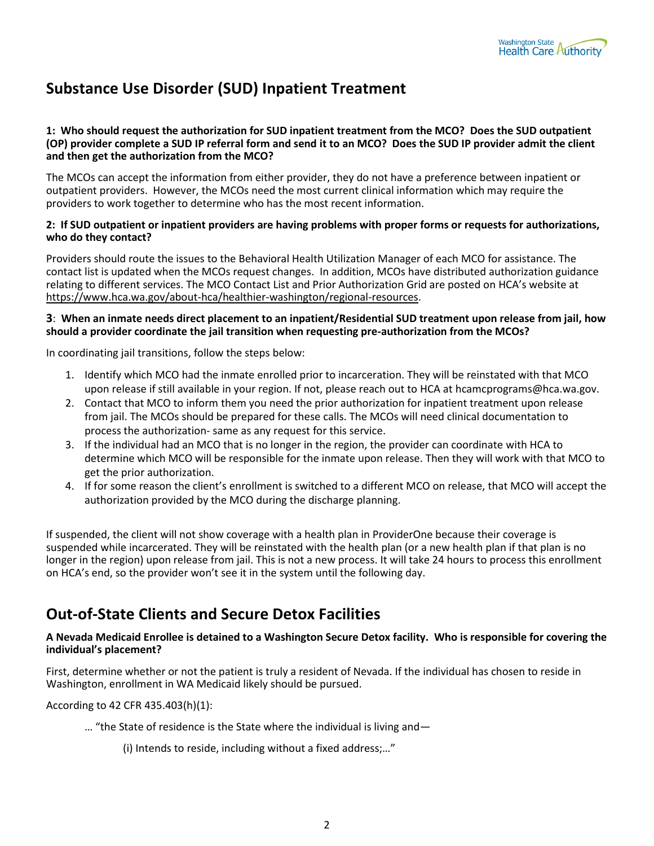# **Substance Use Disorder (SUD) Inpatient Treatment**

#### **1: Who should request the authorization for SUD inpatient treatment from the MCO? Does the SUD outpatient (OP) provider complete a SUD IP referral form and send it to an MCO? Does the SUD IP provider admit the client and then get the authorization from the MCO?**

The MCOs can accept the information from either provider, they do not have a preference between inpatient or outpatient providers. However, the MCOs need the most current clinical information which may require the providers to work together to determine who has the most recent information.

#### **2: If SUD outpatient or inpatient providers are having problems with proper forms or requests for authorizations, who do they contact?**

Providers should route the issues to the Behavioral Health Utilization Manager of each MCO for assistance. The contact list is updated when the MCOs request changes. In addition, MCOs have distributed authorization guidance relating to different services. The MCO Contact List and Prior Authorization Grid are posted on HCA's website at [https://www.hca.wa.gov/about-hca/healthier-washington/regional-resources.](https://www.hca.wa.gov/about-hca/healthier-washington/regional-resources)

#### **3**: **When an inmate needs direct placement to an inpatient/Residential SUD treatment upon release from jail, how should a provider coordinate the jail transition when requesting pre-authorization from the MCOs?**

In coordinating jail transitions, follow the steps below:

- 1. Identify which MCO had the inmate enrolled prior to incarceration. They will be reinstated with that MCO upon release if still available in your region. If not, please reach out to HCA at hcamcprograms@hca.wa.gov.
- 2. Contact that MCO to inform them you need the prior authorization for inpatient treatment upon release from jail. The MCOs should be prepared for these calls. The MCOs will need clinical documentation to process the authorization- same as any request for this service.
- 3. If the individual had an MCO that is no longer in the region, the provider can coordinate with HCA to determine which MCO will be responsible for the inmate upon release. Then they will work with that MCO to get the prior authorization.
- 4. If for some reason the client's enrollment is switched to a different MCO on release, that MCO will accept the authorization provided by the MCO during the discharge planning.

If suspended, the client will not show coverage with a health plan in ProviderOne because their coverage is suspended while incarcerated. They will be reinstated with the health plan (or a new health plan if that plan is no longer in the region) upon release from jail. This is not a new process. It will take 24 hours to process this enrollment on HCA's end, so the provider won't see it in the system until the following day.

### **Out-of-State Clients and Secure Detox Facilities**

#### **A Nevada Medicaid Enrollee is detained to a Washington Secure Detox facility. Who is responsible for covering the individual's placement?**

First, determine whether or not the patient is truly a resident of Nevada. If the individual has chosen to reside in Washington, enrollment in WA Medicaid likely should be pursued.

According to 42 CFR 435.403(h)(1):

- … "the State of residence is the State where the individual is living and—
	- (i) Intends to reside, including without a fixed address;…"